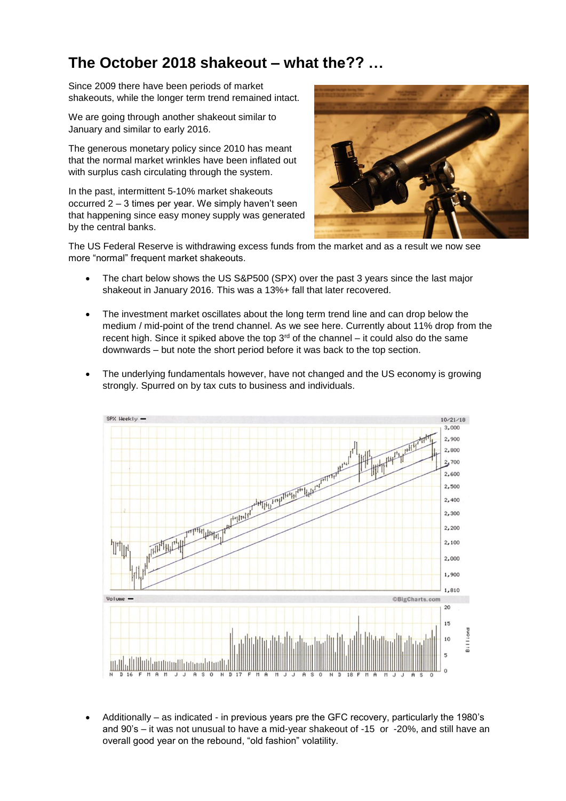## **The October 2018 shakeout – what the?? …**

Since 2009 there have been periods of market shakeouts, while the longer term trend remained intact.

We are going through another shakeout similar to January and similar to early 2016.

The generous monetary policy since 2010 has meant that the normal market wrinkles have been inflated out with surplus cash circulating through the system.

In the past, intermittent 5-10% market shakeouts occurred 2 – 3 times per year. We simply haven't seen that happening since easy money supply was generated by the central banks.



The US Federal Reserve is withdrawing excess funds from the market and as a result we now see more "normal" frequent market shakeouts.

- The chart below shows the US S&P500 (SPX) over the past 3 years since the last major shakeout in January 2016. This was a 13%+ fall that later recovered.
- The investment market oscillates about the long term trend line and can drop below the medium / mid-point of the trend channel. As we see here. Currently about 11% drop from the recent high. Since it spiked above the top  $3<sup>rd</sup>$  of the channel – it could also do the same downwards – but note the short period before it was back to the top section.
- The underlying fundamentals however, have not changed and the US economy is growing strongly. Spurred on by tax cuts to business and individuals.



• Additionally – as indicated - in previous years pre the GFC recovery, particularly the 1980's and 90's – it was not unusual to have a mid-year shakeout of -15 or -20%, and still have an overall good year on the rebound, "old fashion" volatility.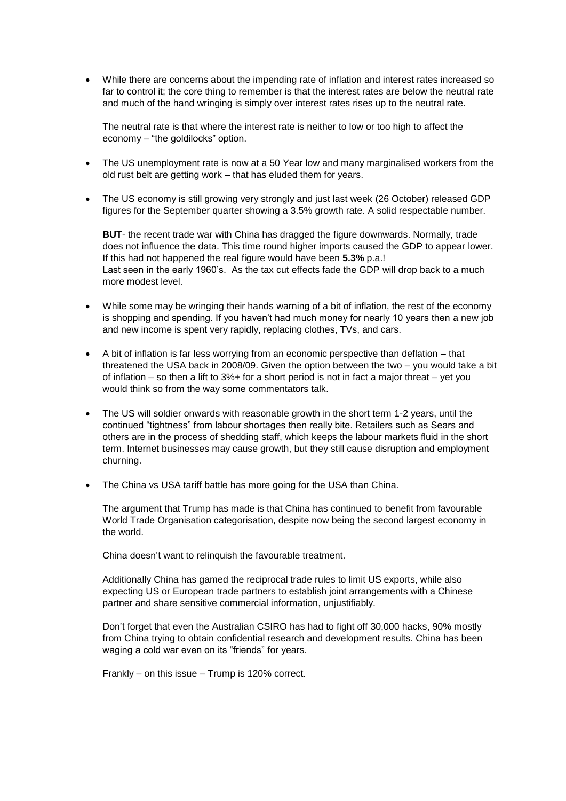• While there are concerns about the impending rate of inflation and interest rates increased so far to control it; the core thing to remember is that the interest rates are below the neutral rate and much of the hand wringing is simply over interest rates rises up to the neutral rate.

The neutral rate is that where the interest rate is neither to low or too high to affect the economy – "the goldilocks" option.

- The US unemployment rate is now at a 50 Year low and many marginalised workers from the old rust belt are getting work – that has eluded them for years.
- The US economy is still growing very strongly and just last week (26 October) released GDP figures for the September quarter showing a 3.5% growth rate. A solid respectable number.

**BUT**- the recent trade war with China has dragged the figure downwards. Normally, trade does not influence the data. This time round higher imports caused the GDP to appear lower. If this had not happened the real figure would have been **5.3%** p.a.! Last seen in the early 1960's. As the tax cut effects fade the GDP will drop back to a much more modest level.

- While some may be wringing their hands warning of a bit of inflation, the rest of the economy is shopping and spending. If you haven't had much money for nearly 10 years then a new job and new income is spent very rapidly, replacing clothes, TVs, and cars.
- A bit of inflation is far less worrying from an economic perspective than deflation that threatened the USA back in 2008/09. Given the option between the two – you would take a bit of inflation – so then a lift to 3%+ for a short period is not in fact a major threat – yet you would think so from the way some commentators talk.
- The US will soldier onwards with reasonable growth in the short term 1-2 years, until the continued "tightness" from labour shortages then really bite. Retailers such as Sears and others are in the process of shedding staff, which keeps the labour markets fluid in the short term. Internet businesses may cause growth, but they still cause disruption and employment churning.
- The China vs USA tariff battle has more going for the USA than China.

The argument that Trump has made is that China has continued to benefit from favourable World Trade Organisation categorisation, despite now being the second largest economy in the world.

China doesn't want to relinquish the favourable treatment.

Additionally China has gamed the reciprocal trade rules to limit US exports, while also expecting US or European trade partners to establish joint arrangements with a Chinese partner and share sensitive commercial information, unjustifiably.

Don't forget that even the Australian CSIRO has had to fight off 30,000 hacks, 90% mostly from China trying to obtain confidential research and development results. China has been waging a cold war even on its "friends" for years.

Frankly – on this issue – Trump is 120% correct.